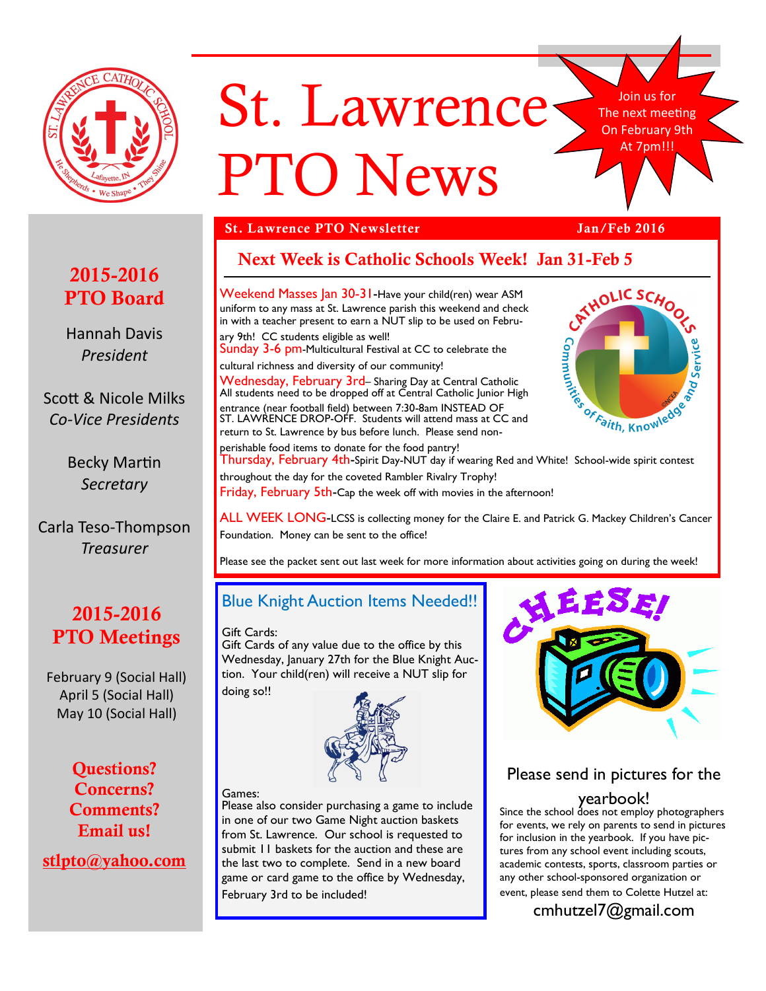

# St. Lawrence PTO News

Join us for The next meeting On February 9th At 7pm!!!

### **St. Lawrence PTO Newsletter Jan/Feb 2016**

# **2015-2016 PTO Board**

Hannah Davis *President*

Scott & Nicole Milks *Co-Vice Presidents*

> Becky Martin *Secretary*

Carla Teso-Thompson *Treasurer*

# **2015-2016 PTO Meetings**

February 9 (Social Hall) April 5 (Social Hall) May 10 (Social Hall)

> **Questions? Concerns? Comments? Email us!**

**stlpto@yahoo.com**



Weekend Masses Jan 30-31-Have your child(ren) wear ASM uniform to any mass at St. Lawrence parish this weekend and check in with a teacher present to earn a NUT slip to be used on February 9th! CC students eligible as well! Sunday 3-6 pm-Multicultural Festival at CC to celebrate the cultural richness and diversity of our community! Wednesday, February 3rd-Sharing Day at Central Catholic All students need to be dropped off at Central Catholic Junior High entrance (near football field) between 7:30-8am INSTEAD OF ST. LAWRENCE DROP-OFF. Students will attend mass at CC and return to St. Lawrence by bus before lunch. Please send non-In wear and CC students engine.<br>
Sunday 3-6 pm-Multicultural Festival at  $C_6$ .<br>
Cultural richness and diversity of our community!<br>
Wednesday, February 3rd- Sharing Day at Central Catholic<br>
All students need to be dropped



perishable food items to donate for the food pantry! throughout the day for the coveted Rambler Rivalry Trophy! Friday, February 5th-Cap the week off with movies in the afternoon!

ALL WEEK LONG-LCSS is collecting money for the Claire E. and Patrick G. Mackey Children's Cancer Foundation. Money can be sent to the office!

Please see the packet sent out last week for more information about activities going on during the week!

# Blue Knight Auction Items Needed!!

Gift Cards:

Gift Cards of any value due to the office by this Wednesday, January 27th for the Blue Knight Auction. Your child(ren) will receive a NUT slip for

doing so!!



#### Games:

Please also consider purchasing a game to include in one of our two Game Night auction baskets from St. Lawrence. Our school is requested to submit 11 baskets for the auction and these are the last two to complete. Send in a new board game or card game to the office by Wednesday, February 3rd to be included!



Please send in pictures for the

### yearbook!

Since the school does not employ photographers for events, we rely on parents to send in pictures for inclusion in the yearbook. If you have pictures from any school event including scouts, academic contests, sports, classroom parties or any other school-sponsored organization or event, please send them to Colette Hutzel at: